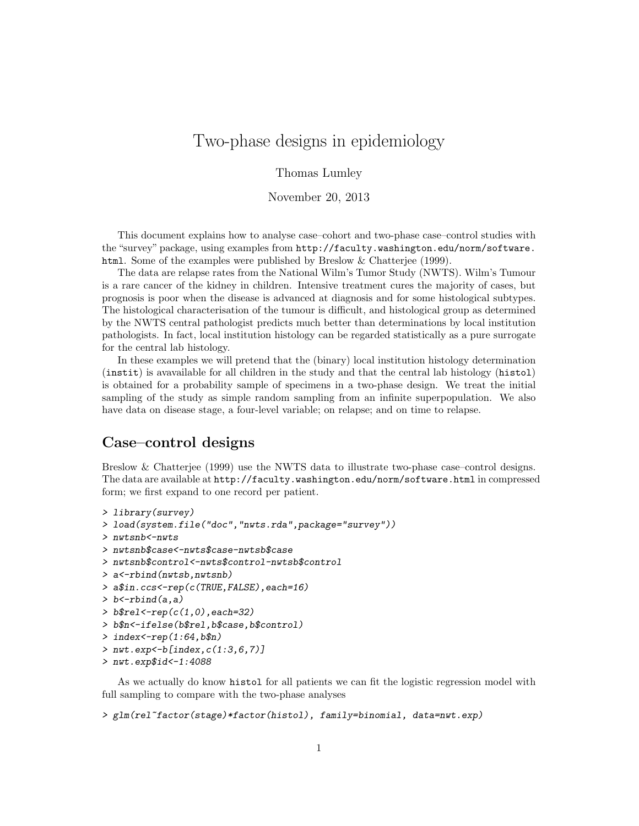# Two-phase designs in epidemiology

Thomas Lumley

November 20, 2013

This document explains how to analyse case–cohort and two-phase case–control studies with the "survey" package, using examples from http://faculty.washington.edu/norm/software. html. Some of the examples were published by Breslow & Chatterjee (1999).

The data are relapse rates from the National Wilm's Tumor Study (NWTS). Wilm's Tumour is a rare cancer of the kidney in children. Intensive treatment cures the majority of cases, but prognosis is poor when the disease is advanced at diagnosis and for some histological subtypes. The histological characterisation of the tumour is difficult, and histological group as determined by the NWTS central pathologist predicts much better than determinations by local institution pathologists. In fact, local institution histology can be regarded statistically as a pure surrogate for the central lab histology.

In these examples we will pretend that the (binary) local institution histology determination (instit) is avavailable for all children in the study and that the central lab histology (histol) is obtained for a probability sample of specimens in a two-phase design. We treat the initial sampling of the study as simple random sampling from an infinite superpopulation. We also have data on disease stage, a four-level variable; on relapse; and on time to relapse.

#### Case–control designs

Breslow & Chatterjee (1999) use the NWTS data to illustrate two-phase case–control designs. The data are available at http://faculty.washington.edu/norm/software.html in compressed form; we first expand to one record per patient.

```
> library(survey)
> load(system.file("doc","nwts.rda",package="survey"))
> nwtsnb<-nwts
> nwtsnb$case<-nwts$case-nwtsb$case
> nwtsnb$control<-nwts$control-nwtsb$control
> a<-rbind(nwtsb,nwtsnb)
> a$in.ccs<-rep(c(TRUE,FALSE),each=16)
> b < -rbind(a, a)> b$rel < -rep(c(1,0), each = 32)> b$n<-ifelse(b$rel,b$case,b$control)
> index <- rep(1:64, b$n)
> nwt.exp < - b [index, c(1:3, 6, 7)]
> nwt.exp$id<-1:4088
```
As we actually do know histol for all patients we can fit the logistic regression model with full sampling to compare with the two-phase analyses

```
> glm(rel~factor(stage)*factor(histol), family=binomial, data=nwt.exp)
```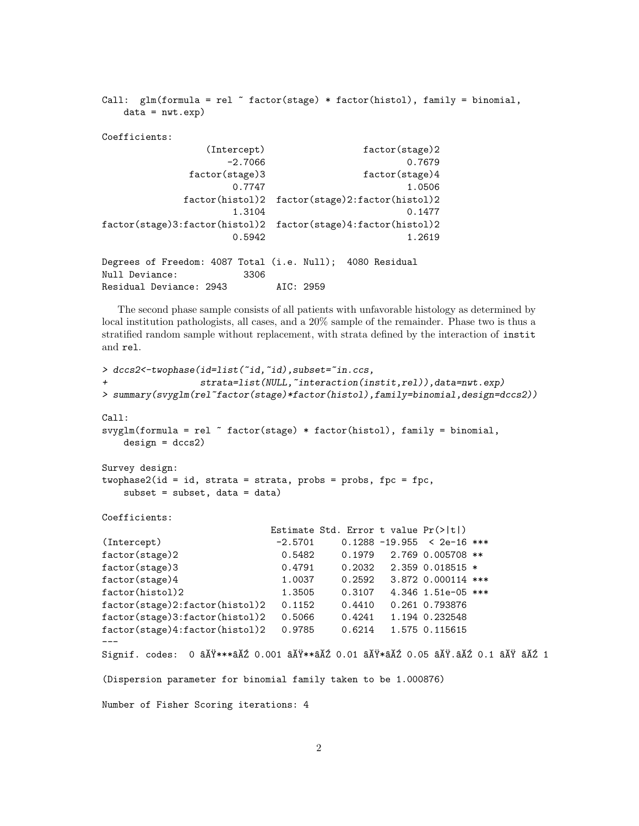```
Call: glm(formula = rel \tilde{r} factor(stage) * factor(histol), family = binomial,
   data = nwt.exp)Coefficients:
              (Intercept) factor(stage)2
                 -2.7066 0.7679
            factor(stage)3 factor(stage)4
                  0.7747 1.0506
           factor(histol)2 factor(stage)2:factor(histol)2
                  1.3104 0.1477
factor(stage)3:factor(histol)2 factor(stage)4:factor(histol)2
                  0.5942 1.2619
Degrees of Freedom: 4087 Total (i.e. Null); 4080 Residual
Null Deviance: 3306
Residual Deviance: 2943 AIC: 2959
```
The second phase sample consists of all patients with unfavorable histology as determined by local institution pathologists, all cases, and a 20% sample of the remainder. Phase two is thus a stratified random sample without replacement, with strata defined by the interaction of instit and rel.

```
> dccs2<-twophase(id=list(~id,~id),subset="in.ccs,
+ strata=list(NULL,~interaction(instit,rel)),data=nwt.exp)
> summary(svyglm(rel~factor(stage)*factor(histol),family=binomial,design=dccs2))
Call:
svyglm(formula = rel ~ factor(stage) * factor(histol), family = binomial,
   design = dccs2)Survey design:
two phase2(id = id, strata = strata, probes = probes, fpc = fpc,subset = subset, data = data)
Coefficients:
                           Estimate Std. Error t value Pr(>|t|)
(Intercept) -2.5701 0.1288 -19.955 < 2e-16 ***
factor(stage)2 0.5482 0.1979 2.769 0.005708 **
factor(stage)3 0.4791 0.2032 2.359 0.018515 *
factor(stage)4 1.0037 0.2592 3.872 0.000114 ***
factor(histol)2 1.3505 0.3107 4.346 1.51e-05 ***
factor(stage)2:factor(histol)2 0.1152 0.4410 0.261 0.793876
factor(stage)3:factor(histol)2 0.5066 0.4241 1.194 0.232548
factor(stage)4:factor(histol)2 0.9785 0.6214 1.575 0.115615
---Signif. codes: 0 âĂŸ***âĂŹ 0.001 âĂŸ**âĂŹ 0.01 âĂŸ*âĂŹ 0.05 âĂŸ.âĂŹ 0.1 âĂŸ âĂŹ 1
(Dispersion parameter for binomial family taken to be 1.000876)
Number of Fisher Scoring iterations: 4
```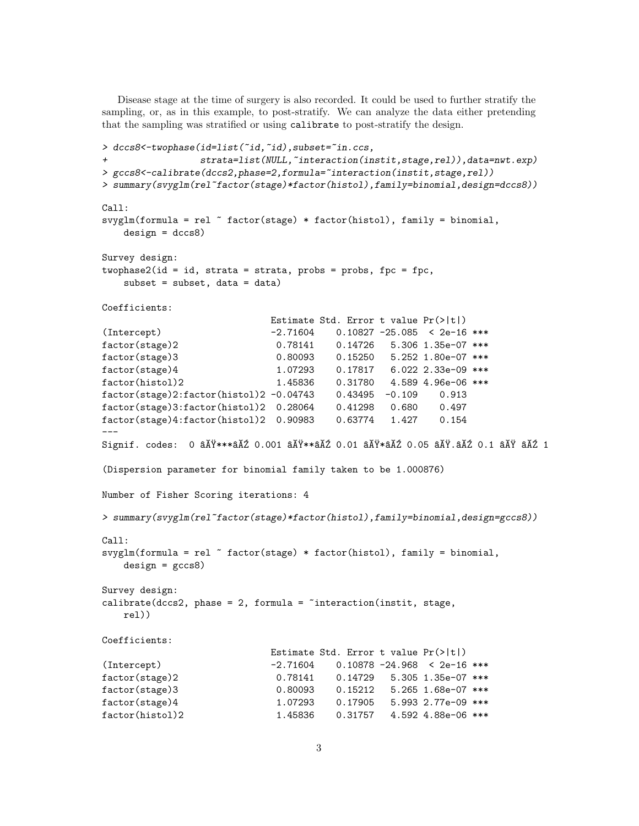Disease stage at the time of surgery is also recorded. It could be used to further stratify the sampling, or, as in this example, to post-stratify. We can analyze the data either pretending that the sampling was stratified or using calibrate to post-stratify the design.

```
> dccs8<-twophase(id=list(~id,~id),subset="in.ccs,
+ strata=list(NULL,~interaction(instit,stage,rel)),data=nwt.exp)
> gccs8<-calibrate(dccs2,phase=2,formula="interaction(instit,stage,rel))
> summary(svyglm(rel~factor(stage)*factor(histol),family=binomial,design=dccs8))
Call:
svyglm(formula = rel \tilde{ } factor(stage) * factor(histol), family = binomial,
   design = dccs8)Survey design:
two phase2(id = id, strata = strata, probes = probes, fpc = fpc,subset = subset, data = data)Coefficients:
                          Estimate Std. Error t value Pr(>|t|)
(Intercept) -2.71604 0.10827 -25.085 < 2e-16 ***
factor(stage)2 0.78141 0.14726 5.306 1.35e-07 ***
factor(stage)3 0.80093 0.15250 5.252 1.80e-07 ***
factor(stage)4 1.07293 0.17817 6.022 2.33e-09 ***
factor(histol)2 1.45836 0.31780 4.589 4.96e-06 ***
factor(stage)2:factor(histol)2 -0.04743 0.43495 -0.109 0.913
factor(stage)3:factor(histol)2 0.28064 0.41298 0.680 0.497
factor(stage)4:factor(histol)2 0.90983 0.63774 1.427 0.154
---
Signif. codes: 0 âĂŸ***âĂŹ 0.001 âĂŸ**âĂŹ 0.01 âĂŸ*âĂŹ 0.05 âĂŸ.âĂŹ 0.1 âĂŸ âĂŹ 1
(Dispersion parameter for binomial family taken to be 1.000876)
Number of Fisher Scoring iterations: 4
> summary(svyglm(rel~factor(stage)*factor(histol),family=binomial,design=gccs8))
Ca11:svyglm(formula = rel \tilde{ } factor(stage) * factor(histol), family = binomial,
   design = gccs8)Survey design:
calinteraction(int, stage,rel))
Coefficients:
                          Estimate Std. Error t value Pr(>|t|)
(Intercept) -2.71604 0.10878 -24.968 < 2e-16 ***
factor(stage)2 0.78141 0.14729 5.305 1.35e-07 ***
factor(stage)3 0.80093 0.15212 5.265 1.68e-07 ***
factor(stage)4 1.07293 0.17905 5.993 2.77e-09 ***
factor(histol)2 1.45836 0.31757 4.592 4.88e-06 ***
```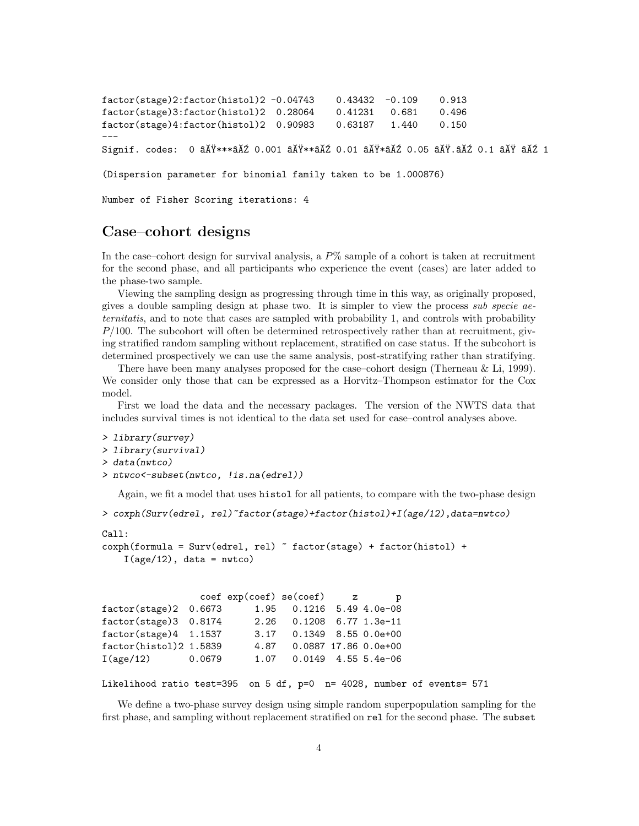```
factor(stage)2:factor(histol)2 -0.04743 0.43432 -0.109 0.913
factor(stage)3:factor(histol)2 0.28064 0.41231 0.681 0.496
factor(stage)4:factor(histol)2 0.90983 0.63187 1.440 0.150
---
Signif. codes: 0 âĂŸ***âĂŹ 0.001 âĂŸ**âĂŹ 0.01 âĂŸ*âĂŹ 0.05 âĂŸ.âĂŹ 0.1 âĂŸ âĂŹ 1
```
(Dispersion parameter for binomial family taken to be 1.000876)

Number of Fisher Scoring iterations: 4

### Case–cohort designs

In the case–cohort design for survival analysis, a  $P\%$  sample of a cohort is taken at recruitment for the second phase, and all participants who experience the event (cases) are later added to the phase-two sample.

Viewing the sampling design as progressing through time in this way, as originally proposed, gives a double sampling design at phase two. It is simpler to view the process sub specie aeternitatis, and to note that cases are sampled with probability 1, and controls with probability  $P/100$ . The subcohort will often be determined retrospectively rather than at recruitment, giving stratified random sampling without replacement, stratified on case status. If the subcohort is determined prospectively we can use the same analysis, post-stratifying rather than stratifying.

There have been many analyses proposed for the case–cohort design (Therneau & Li, 1999). We consider only those that can be expressed as a Horvitz–Thompson estimator for the Cox model.

First we load the data and the necessary packages. The version of the NWTS data that includes survival times is not identical to the data set used for case–control analyses above.

```
> library(survey)
> library(survival)
> data(nwtco)
> ntwco<-subset(nwtco, !is.na(edrel))
```
Again, we fit a model that uses histol for all patients, to compare with the two-phase design

```
> coxph(Surv(edrel, rel)~factor(stage)+factor(histol)+I(age/12),data=nwtco)
```

```
Call:
coxph(formula = Surv(edrel, rel) ~ factor(stage) + factor(histol) +
    I(age/12), data = nwtco)
```

|                                |        | $\c{o}$ exp(coef) se(coef) z |                           | p |  |
|--------------------------------|--------|------------------------------|---------------------------|---|--|
| factor(stage)2 0.6673          |        |                              | 1.95 0.1216 5.49 4.0e-08  |   |  |
| factor(stage)3 0.8174          |        |                              | 2.26 0.1208 6.77 1.3e-11  |   |  |
| $factor(\text{stage})4$ 1.1537 |        |                              | 3.17 0.1349 8.55 0.0e+00  |   |  |
| factor(histol)2 1.5839         |        |                              | 4.87 0.0887 17.86 0.0e+00 |   |  |
| I(age/12)                      | 0.0679 |                              | 1.07 0.0149 4.55 5.4e-06  |   |  |

```
Likelihood ratio test=395 on 5 df, p=0 n= 4028, number of events= 571
```
We define a two-phase survey design using simple random superpopulation sampling for the first phase, and sampling without replacement stratified on rel for the second phase. The subset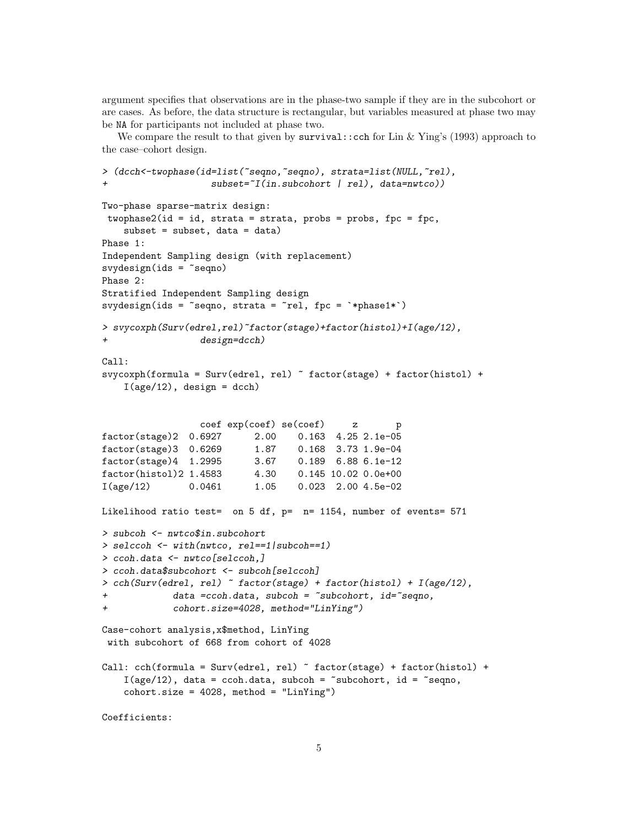argument specifies that observations are in the phase-two sample if they are in the subcohort or are cases. As before, the data structure is rectangular, but variables measured at phase two may be NA for participants not included at phase two.

We compare the result to that given by  $survival$ : cch for Lin & Ying's (1993) approach to the case–cohort design.

```
> (dcch<-twophase(id=list(~seqno,~seqno), strata=list(NULL,~rel),
                   subset="I(in.subcohort | rel), data=nutco))Two-phase sparse-matrix design:
twophase2(id = id, strata = strata, probes = probes, fpc = fpc,subset = subset, data = data)Phase 1:
Independent Sampling design (with replacement)
svydesign(ids = \text{seqno})
Phase 2:
Stratified Independent Sampling design
svydesign(ids = "seqno, strata = "rel, fpc = "*phase1*)> svycoxph(Surv(edrel,rel)~factor(stage)+factor(histol)+I(age/12),
                 design=dcch)Call:
svycoxph(formula = Surv(edrel, rel) ~ factor(stage) + factor(histol) +
    I(age/12), design = dcch)
                 coef exp(coef) se(coef) z p
factor(stage)2 0.6927 2.00 0.163 4.25 2.1e-05
factor(stage)3 0.6269 1.87 0.168 3.73 1.9e-04
factor(stage)4 1.2995 3.67 0.189 6.88 6.1e-12
factor(histol)2 1.4583 4.30 0.145 10.02 0.0e+00
I(age/12) 0.0461 1.05 0.023 2.00 4.5e-02
Likelihood ratio test= on 5 df, p= n= 1154, number of events= 571
> subcoh <- nwtco$in.subcohort
> selccoh <- with(nwtco, rel==1|subcoh==1)
> ccoh.data <- nwtco[selccoh,]
> ccoh.data$subcohort <- subcoh[selccoh]
> cch(Surv(edrel, rel) ~ factor(stage) + factor(histol) + I(age/12),
+ data =ccoh.data, subcoh = ~subcohort, id=~seqno,
+ cohort.size=4028, method="LinYing")
Case-cohort analysis,x$method, LinYing
with subcohort of 668 from cohort of 4028
Call: cch(formula = Surv(edrel, rel) ~ factor(stage) + factor(histol) +
    I(age/12), data = ccoh.data, subcoh = ~subcohort, id = ~seqno,
    \text{cohort.size} = 4028, \text{ method} = \text{"LinYing"}Coefficients:
```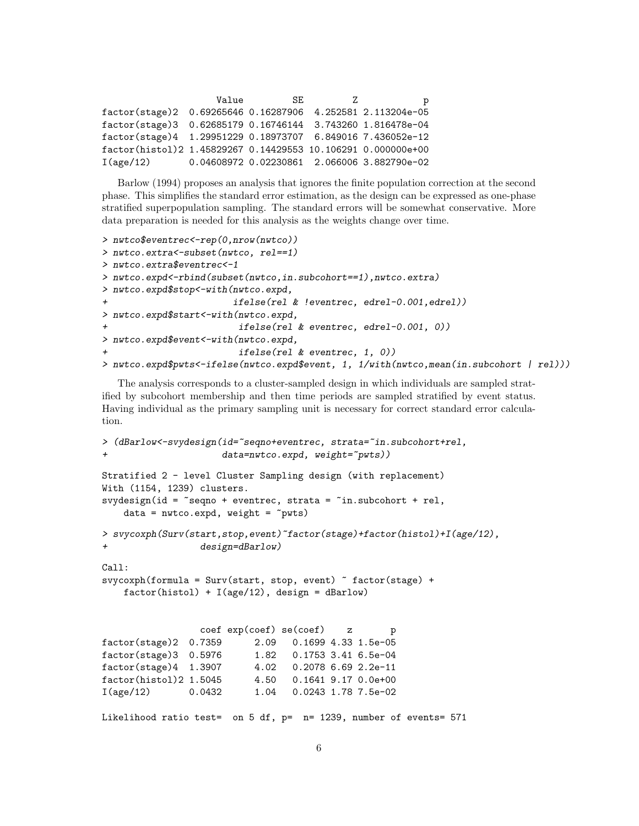|                                                                | Value | SE. | 7. | р                                           |
|----------------------------------------------------------------|-------|-----|----|---------------------------------------------|
| factor(stage)2 0.69265646 0.16287906 4.252581 2.113204e-05     |       |     |    |                                             |
| factor(stage)3  0.62685179  0.16746144  3.743260  1.816478e-04 |       |     |    |                                             |
| factor(stage)4 1.29951229 0.18973707 6.849016 7.436052e-12     |       |     |    |                                             |
| factor(histol)2 1.45829267 0.14429553 10.106291 0.000000e+00   |       |     |    |                                             |
| I(age/12)                                                      |       |     |    | 0.04608972 0.02230861 2.066006 3.882790e-02 |

Barlow (1994) proposes an analysis that ignores the finite population correction at the second phase. This simplifies the standard error estimation, as the design can be expressed as one-phase stratified superpopulation sampling. The standard errors will be somewhat conservative. More data preparation is needed for this analysis as the weights change over time.

```
> nwtco$eventrec<-rep(0,nrow(nwtco))
> nwtco.extra<-subset(nwtco, rel==1)
> nwtco.extra$eventrec<-1
> nwtco.expd<-rbind(subset(nwtco,in.subcohort==1),nwtco.extra)
> nwtco.expd$stop<-with(nwtco.expd,
                        ifelse(rel & !eventrec, edrel-0.001,edrel))
> nwtco.expd$start<-with(nwtco.expd,
                         ifelse(re1 & eventrec, edrel-0.001, 0))> nwtco.expd$event<-with(nwtco.expd,
                         ifelse(re1 & eventrec, 1, 0))> nwtco.expd$pwts<-ifelse(nwtco.expd$event, 1, 1/with(nwtco,mean(in.subcohort | rel)))
```
The analysis corresponds to a cluster-sampled design in which individuals are sampled stratified by subcohort membership and then time periods are sampled stratified by event status. Having individual as the primary sampling unit is necessary for correct standard error calculation.

```
> (dBarlow <- svydesign(id="seqno+eventrec, strata="in.subcohort+rel,
                     data=nwtco.expd, weight=\text{``pwts)})
Stratified 2 - level Cluster Sampling design (with replacement)
With (1154, 1239) clusters.
svydesign(id = ~seqno + eventrec, strata = ~in.subcohort + rel,
    data = nwtco.expd, weight = \gamma pwts)> svycoxph(Surv(start,stop,event)~factor(stage)+factor(histol)+I(age/12),
+ design=dBarlow)
Call:
svycoxph(formula = Surv(start, stop, event) ~ factor(stage) +
    factor(histol) + I(age/12), design = dBarlow)
                 coef exp(coef) se(coef) z p
factor(stage)2 0.7359 2.09 0.1699 4.33 1.5e-05
factor(stage)3 0.5976 1.82 0.1753 3.41 6.5e-04
factor(stage)4 1.3907 4.02 0.2078 6.69 2.2e-11
factor(histol)2 1.5045 4.50 0.1641 9.17 0.0e+00
I(age/12) 0.0432 1.04 0.0243 1.78 7.5e-02
Likelihood ratio test= on 5 df, p= n= 1239, number of events= 571
```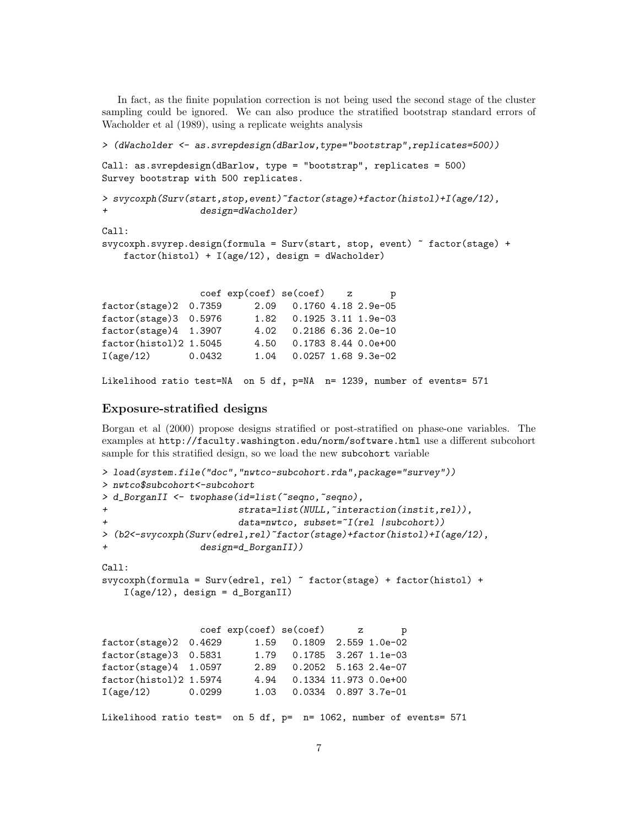In fact, as the finite population correction is not being used the second stage of the cluster sampling could be ignored. We can also produce the stratified bootstrap standard errors of Wacholder et al (1989), using a replicate weights analysis

```
> (dWacholder <- as.svrepdesign(dBarlow,type="bootstrap",replicates=500))
Call: as.svrepdesign(dBarlow, type = "bootstrap", replicates = 500)
Survey bootstrap with 500 replicates.
> svycoxph(Surv(start,stop,event)~factor(stage)+factor(histol)+I(age/12),
                design=dWacholder)
Call:
svycoxph.svyrep.design(formula = Surv(start, stop, event) ~ factor(stage) +
   factor(histol) + I(age/12), design = dWacholder)
                coef exp(coef) se(coef) z p
factor(stage)2 0.7359 2.09 0.1760 4.18 2.9e-05
factor(stage)3 0.5976 1.82 0.1925 3.11 1.9e-03
factor(stage)4 1.3907 4.02 0.2186 6.36 2.0e-10
factor(histol)2 1.5045 4.50 0.1783 8.44 0.0e+00
I(age/12) 0.0432 1.04 0.0257 1.68 9.3e-02
```

```
Likelihood ratio test=NA on 5 df, p=NA n= 1239, number of events= 571
```
#### Exposure-stratified designs

Borgan et al (2000) propose designs stratified or post-stratified on phase-one variables. The examples at http://faculty.washington.edu/norm/software.html use a different subcohort sample for this stratified design, so we load the new subcohort variable

```
> load(system.file("doc","nwtco-subcohort.rda",package="survey"))
> nwtco$subcohort<-subcohort
> d_BorganII <- twophase(id=list(~seqno,~seqno),
+ strata=list(NULL,~interaction(instit,rel)),
                       data=nwtco, subset=\tilde{I}(rel |subcohort))
> (b2<-svycoxph(Surv(edrel,rel)~factor(stage)+factor(histol)+I(age/12),
                design=d_BorganII))
Call:
svycoxph(formula = Surv(edrel, rel) ~ factor(stage) + factor(histol) +
   I(age/12), design = d_BorganII)
                coef exp(coef) se(coef) z p
factor(stage)2 0.4629 1.59 0.1809 2.559 1.0e-02
factor(stage)3  0.5831  1.79  0.1785  3.267  1.1e-03
factor(stage)4 1.0597 2.89 0.2052 5.163 2.4e-07
factor(histol)2 1.5974 4.94 0.1334 11.973 0.0e+00
I(age/12) 0.0299 1.03 0.0334 0.897 3.7e-01
Likelihood ratio test= on 5 df, p= n= 1062, number of events= 571
```